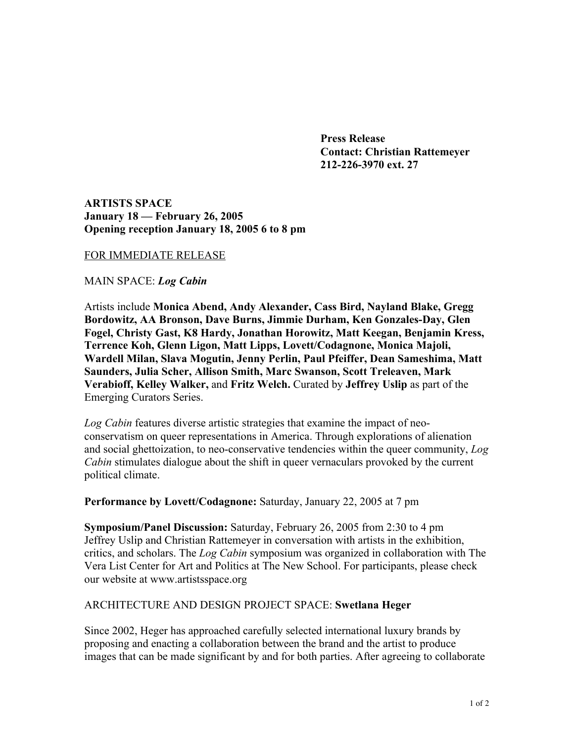**Press Release Contact: Christian Rattemeyer 212-226-3970 ext. 27**

**ARTISTS SPACE January 18 — February 26, 2005 Opening reception January 18, 2005 6 to 8 pm**

## FOR IMMEDIATE RELEASE

MAIN SPACE: *Log Cabin*

Artists include **Monica Abend, Andy Alexander, Cass Bird, Nayland Blake, Gregg Bordowitz, AA Bronson, Dave Burns, Jimmie Durham, Ken Gonzales-Day, Glen Fogel, Christy Gast, K8 Hardy, Jonathan Horowitz, Matt Keegan, Benjamin Kress, Terrence Koh, Glenn Ligon, Matt Lipps, Lovett/Codagnone, Monica Majoli, Wardell Milan, Slava Mogutin, Jenny Perlin, Paul Pfeiffer, Dean Sameshima, Matt Saunders, Julia Scher, Allison Smith, Marc Swanson, Scott Treleaven, Mark Verabioff, Kelley Walker,** and **Fritz Welch.** Curated by **Jeffrey Uslip** as part of the Emerging Curators Series.

*Log Cabin* features diverse artistic strategies that examine the impact of neoconservatism on queer representations in America. Through explorations of alienation and social ghettoization, to neo-conservative tendencies within the queer community, *Log Cabin* stimulates dialogue about the shift in queer vernaculars provoked by the current political climate.

**Performance by Lovett/Codagnone:** Saturday, January 22, 2005 at 7 pm

**Symposium/Panel Discussion:** Saturday, February 26, 2005 from 2:30 to 4 pm Jeffrey Uslip and Christian Rattemeyer in conversation with artists in the exhibition, critics, and scholars. The *Log Cabin* symposium was organized in collaboration with The Vera List Center for Art and Politics at The New School. For participants, please check our website at www.artistsspace.org

## ARCHITECTURE AND DESIGN PROJECT SPACE: **Swetlana Heger**

Since 2002, Heger has approached carefully selected international luxury brands by proposing and enacting a collaboration between the brand and the artist to produce images that can be made significant by and for both parties. After agreeing to collaborate